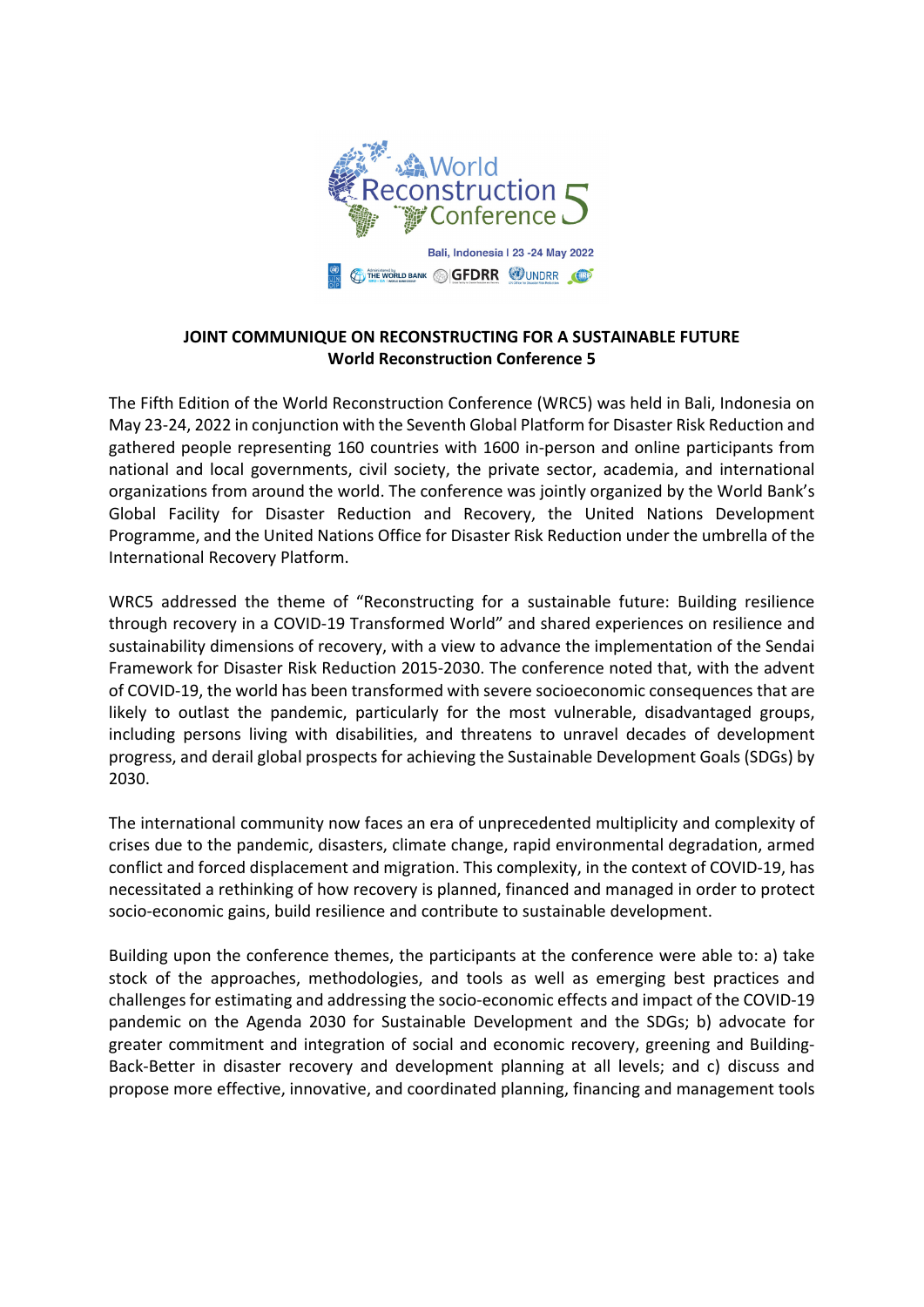

## **JOINT COMMUNIQUE ON RECONSTRUCTING FOR A SUSTAINABLE FUTURE World Reconstruction Conference 5**

The Fifth Edition of the World Reconstruction Conference (WRC5) was held in Bali, Indonesia on May 23‐24, 2022 in conjunction with the Seventh Global Platform for Disaster Risk Reduction and gathered people representing 160 countries with 1600 in‐person and online participants from national and local governments, civil society, the private sector, academia, and international organizations from around the world. The conference was jointly organized by the World Bank's Global Facility for Disaster Reduction and Recovery, the United Nations Development Programme, and the United Nations Office for Disaster Risk Reduction under the umbrella of the International Recovery Platform.

WRC5 addressed the theme of "Reconstructing for a sustainable future: Building resilience through recovery in a COVID‐19 Transformed World" and shared experiences on resilience and sustainability dimensions of recovery, with a view to advance the implementation of the Sendai Framework for Disaster Risk Reduction 2015‐2030. The conference noted that, with the advent of COVID‐19, the world has been transformed with severe socioeconomic consequences that are likely to outlast the pandemic, particularly for the most vulnerable, disadvantaged groups, including persons living with disabilities, and threatens to unravel decades of development progress, and derail global prospects for achieving the Sustainable Development Goals (SDGs) by 2030.

The international community now faces an era of unprecedented multiplicity and complexity of crises due to the pandemic, disasters, climate change, rapid environmental degradation, armed conflict and forced displacement and migration. This complexity, in the context of COVID‐19, has necessitated a rethinking of how recovery is planned, financed and managed in order to protect socio‐economic gains, build resilience and contribute to sustainable development.

Building upon the conference themes, the participants at the conference were able to: a) take stock of the approaches, methodologies, and tools as well as emerging best practices and challenges for estimating and addressing the socio-economic effects and impact of the COVID-19 pandemic on the Agenda 2030 for Sustainable Development and the SDGs; b) advocate for greater commitment and integration of social and economic recovery, greening and Building‐ Back‐Better in disaster recovery and development planning at all levels; and c) discuss and propose more effective, innovative, and coordinated planning, financing and management tools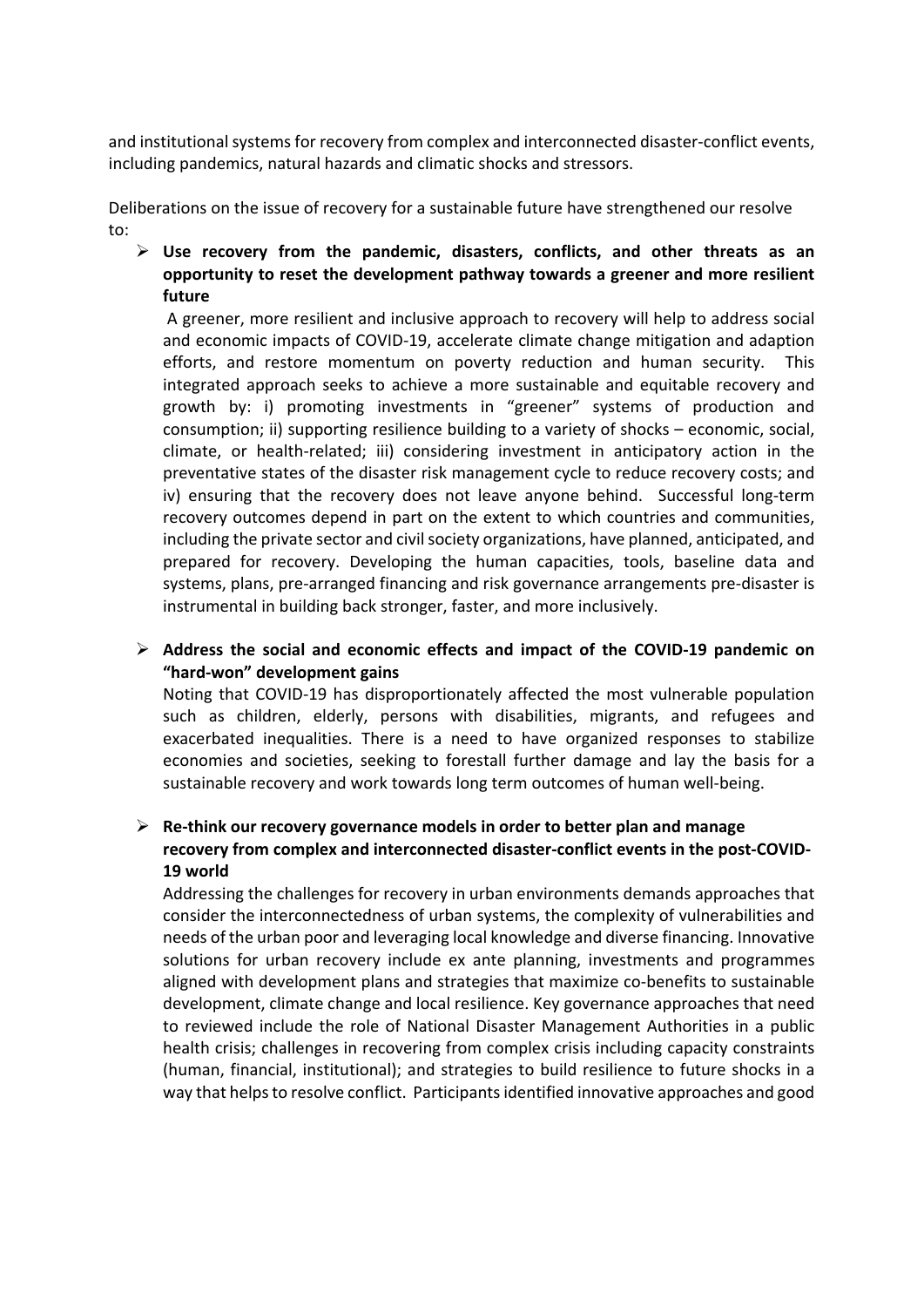and institutional systems for recovery from complex and interconnected disaster-conflict events, including pandemics, natural hazards and climatic shocks and stressors.

Deliberations on the issue of recovery for a sustainable future have strengthened our resolve to:

 **Use recovery from the pandemic, disasters, conflicts, and other threats as an opportunity to reset the development pathway towards a greener and more resilient future**

A greener, more resilient and inclusive approach to recovery will help to address social and economic impacts of COVID‐19, accelerate climate change mitigation and adaption efforts, and restore momentum on poverty reduction and human security. This integrated approach seeks to achieve a more sustainable and equitable recovery and growth by: i) promoting investments in "greener" systems of production and consumption; ii) supporting resilience building to a variety of shocks – economic, social, climate, or health‐related; iii) considering investment in anticipatory action in the preventative states of the disaster risk management cycle to reduce recovery costs; and iv) ensuring that the recovery does not leave anyone behind. Successful long-term recovery outcomes depend in part on the extent to which countries and communities, including the private sector and civil society organizations, have planned, anticipated, and prepared for recovery. Developing the human capacities, tools, baseline data and systems, plans, pre‐arranged financing and risk governance arrangements pre‐disaster is instrumental in building back stronger, faster, and more inclusively.

## **Address the social and economic effects and impact of the COVID‐19 pandemic on "hard‐won" development gains**

Noting that COVID‐19 has disproportionately affected the most vulnerable population such as children, elderly, persons with disabilities, migrants, and refugees and exacerbated inequalities. There is a need to have organized responses to stabilize economies and societies, seeking to forestall further damage and lay the basis for a sustainable recovery and work towards long term outcomes of human well‐being.

## **Re‐think our recovery governance models in order to better plan and manage recovery from complex and interconnected disaster‐conflict events in the post‐COVID‐ 19 world**

Addressing the challenges for recovery in urban environments demands approaches that consider the interconnectedness of urban systems, the complexity of vulnerabilities and needs of the urban poor and leveraging local knowledge and diverse financing. Innovative solutions for urban recovery include ex ante planning, investments and programmes aligned with development plans and strategies that maximize co‐benefits to sustainable development, climate change and local resilience. Key governance approaches that need to reviewed include the role of National Disaster Management Authorities in a public health crisis; challenges in recovering from complex crisis including capacity constraints (human, financial, institutional); and strategies to build resilience to future shocks in a way that helps to resolve conflict. Participants identified innovative approaches and good